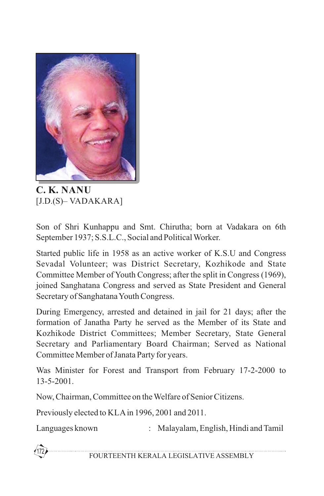

**C. K. NANU** [J.D.(S)– VADAKARA]

Son of Shri Kunhappu and Smt. Chirutha; born at Vadakara on 6th September 1937; S.S.L.C., Social and Political Worker.

Started public life in 1958 as an active worker of K.S.U and Congress Sevadal Volunteer; was District Secretary, Kozhikode and State Committee Member of Youth Congress; after the split in Congress (1969), joined Sanghatana Congress and served as State President and General Secretary of Sanghatana Youth Congress.

During Emergency, arrested and detained in jail for 21 days; after the formation of Janatha Party he served as the Member of its State and Kozhikode District Committees; Member Secretary, State General Secretary and Parliamentary Board Chairman; Served as National Committee Member of Janata Party for years.

Was Minister for Forest and Transport from February 17-2-2000 to 13-5-2001.

Now, Chairman, Committee on the Welfare of Senior Citizens.

Previously elected to KLAin 1996, 2001 and 2011.

Languages known : Malayalam, English, Hindi and Tamil